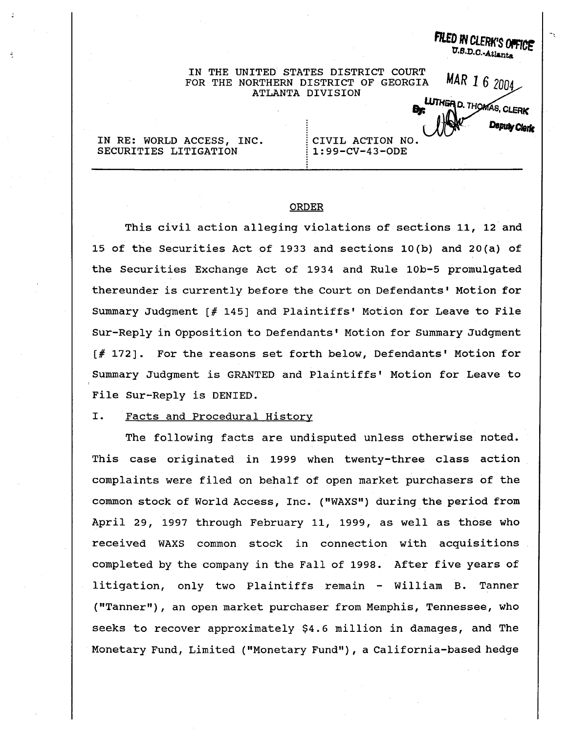FILED IN CLERK'S OFFICE IN THE UNITED STATES DISTRICT COURT MAR 1 6 2004 FOR THE NORTHERN DISTRICT OF GEORGIA ATLANTA DIVISION UTHER D. THOMAS, CLERK **Deputy Clark** IN RE: WORLD ACCESS, INC. CIVIL ACTION NO. SECURITIES LITIGATION  $1:99-CV-43-ODE$ 

### ORDER

This civil action alleging violations of sections 11, 12 and 15 of the Securities Act of 1933 and sections 10 (b) and 20 (a) of the Securities Exchange Act of 1934 and Rule 10b-5 promulgated thereunder is currently before the Court on Defendants' Motion for Summary Judgment  $\lceil f \rceil$  145] and Plaintiffs' Motion for Leave to File Sur-Reply in Opposition to Defendants' Motion for Summary Judgment  $[$  # 172]. For the reasons set forth below, Defendants' Motion for Summary Judgment is GRANTED and Plaintiffs' Motion for Leave to File Sur-Reply is DENIED.

#### I. Facts and Procedural History

The following facts are undisputed unless otherwise noted. This case originated in <sup>1999</sup> when twenty-three class action complaints were filed on behalf of open market purchasers of the common stock of World Access , Inc. ("WAXS" ) during the period from April 29, 1997 through February 11, 1999, as well as those who received WAXS common stock in connection with acquisitions completed by the company in the Fall of 1998. After five years of litigation, only two Plaintiffs remain - William B. Tanner ("Tanner"), an open market purchaser from Memphis, Tennessee, who seeks to recover approximately \$4.6 million in damages, and The Monetary Fund, Limited ("Monetary Fund"), a California-based hedge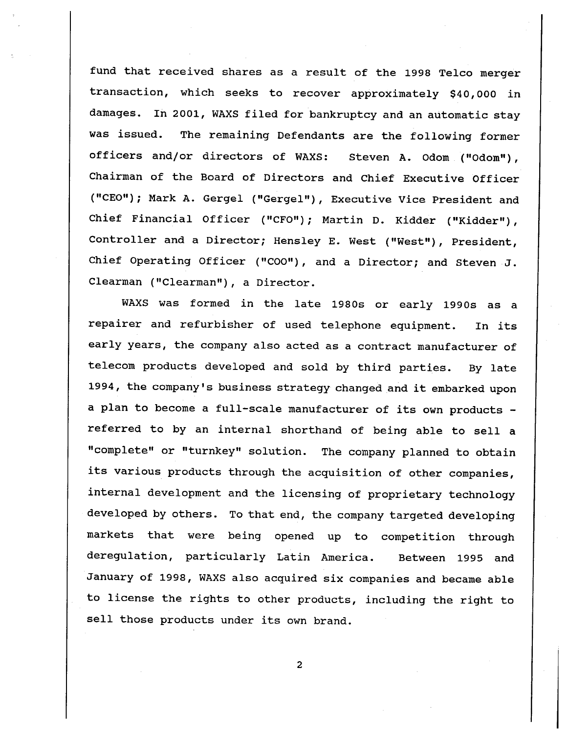fund that received shares as a result of the 1998 Telco merger transaction, which seeks to recover approximately \$40,000 in damages. In 2001, WAXS filed for bankruptcy and an automatic stay was issued. The remaining Defendants are the following former officers and/or directors of WAXS: Steven A. Odom ("Odom"), Chairman of the Board of Directors and Chief Executive Officer ("CEO"); Mark A. Gergel ("Gergel"), Executive Vice President and Chief Financial Officer ("CFO"); Martin D. Kidder ("Kidder"), Controller and a Director; Hensley E. West ("West"), President, Chief Operating Officer ("COO"), and a Director; and Steven J. Clearman ("Clearman"), a Director.

WAXS was formed in the late 1980s or early 1990s as a repairer and refurbisher of used telephone equipment. In its early years, the company also acted as a contract manufacturer of telecom products developed and sold by third parties. By late 1994 , the company' s business strategy changed and it embarked upon a plan to become a full-scale manufacturer of its own products referred to by an internal shorthand of being able to sell a complete" or "turnkey" solution. The company planned to obtain its various products through the acquisition of other companies, internal development and the licensing of proprietary technology developed by others. To that end, the company targeted developing markets that were being opened up to competition through deregulation, particularly Latin America. Between 1995 and January of 1998, WAXS also acquired six companies and became able to license the rights to other products, including the right to sell those products under its own brand.

 $\overline{2}$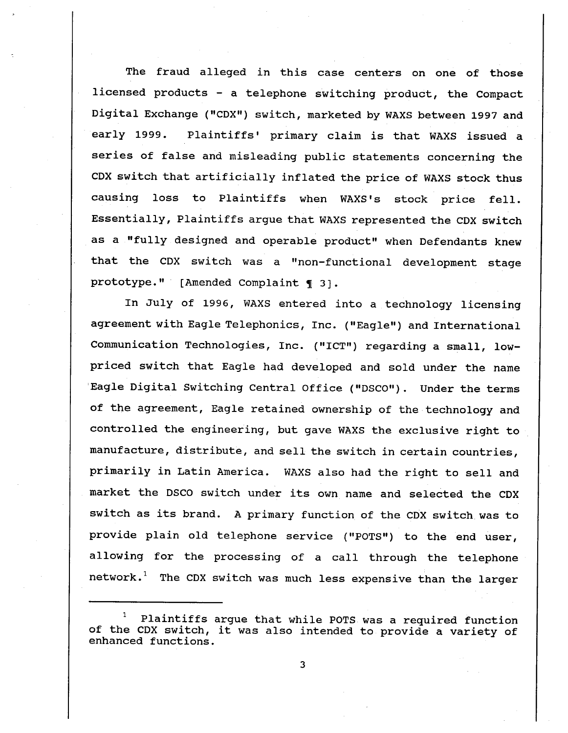The fraud alleged in this case centers on one of those licensed products - a telephone switching product, the Compact Digital Exchange ("CDX") switch, marketed by WAXS between 1997 and early 1999. Plaintiffs' primary claim is that WAXS issued a series of false and misleading public statements concerning the CDX switch that artificially inflated the price of WAXS stock thus causing loss to Plaintiffs when WAXS's stock price fell. Essentially, Plaintiffs argue that WAXS represented the CDX switch as a "fully designed and operable product" when Defendants knew that the CDX switch was a "non-functional development stage prototype." [Amended Complaint  $\P$  3].

In July of 1996, WAXS entered into a technology licensing agreement with Eagle Telephonics, Inc. ("Eagle") and International Communication Technologies, Inc. ("ICT") regarding a small, lowpriced switch that Eagle had developed and sold under the name Eagle Digital Switching Central Office ("DSCO"). Under the terms of the agreement, Eagle retained ownership of the technology and controlled the engineering, but gave WAXS the exclusive right to manufacture, distribute, and sell the switch in certain countries, primarily in Latin America. WAXS also had the right to sell and market the DSCO switch under its own name and selected the CDX switch as its brand. A primary function of the CDX switch was to provide plain old telephone service ("POTS") to the end user, allowing for the processing of a call through the telephone  $network.^1$  The CDX switch was much less expensive than the larger

Plaintiffs argue that while POTS was a required function of the CDX switch, it was also intended to provide a variety of enhanced functions.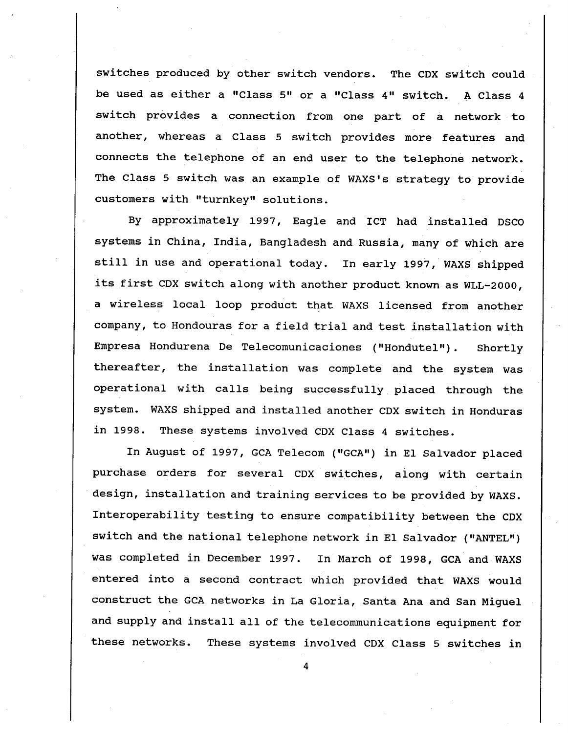switches produced by other switch vendors. The CDX switch could be used as either a "Class 5" or a "Class 4" switch. A Class 4 switch provides a connection from one part of a network to another, whereas a Class 5 switch provides more features and connects the telephone of an end user to the telephone network. The Class 5 switch was an example of WAXS's strategy to provide customers with "turnkey" solutions.

By approximately 1997, Eagle and ICT had installed DSCO systems in China, India, Bangladesh and Russia, many of which are still in use and operational today. In early 1997, WAXS shipped its first CDX switch along with another product known as WLL-2000 a wireless local loop product that WAXS licensed from another company, to Hondouras for a field trial and test installation with Empresa Hondurena De Telecomunicaciones ("Hondutel" Shortly thereafter, the installation was complete and the system was operational with calls being successfully placed through the system. WAXS shipped and installed another CDX switch in Honduras in 1998. These systems involved CDX Class 4 switches.

In August of 1997, GCA Telecom ("GCA") in El Salvador placed purchase orders for several CDX switches, along with certain design, installation and training services to be provided by WAXS. Interoperability testing to ensure compatibility between the CDX switch and the national telephone network in EI Salvador ("ANTEL" was completed in December 1997. In March of 1998, GCA and WAXS entered into a second contract which provided that WAXS would construct the GCA networks in La Gloria, Santa Ana and San Miguel and supply and install all of the telecommunications equipment for these networks. These systems involved CDX Class 5 switches in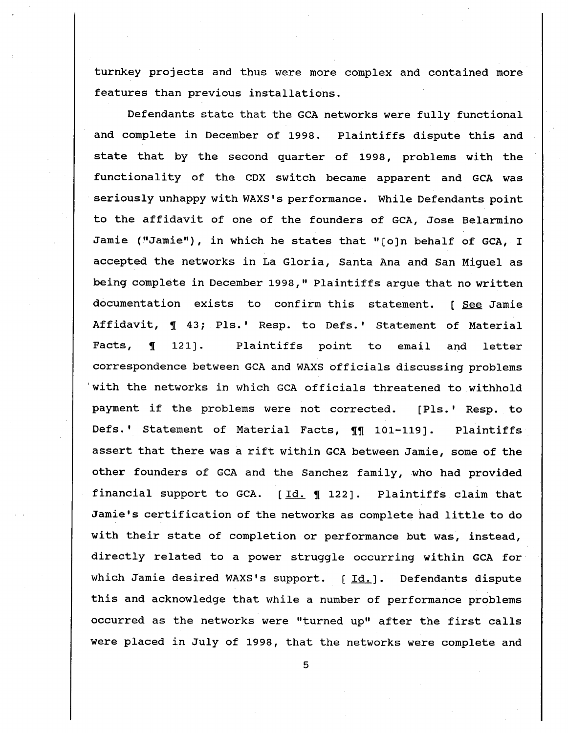turnkey projects and thus were more complex and contained more features than previous installations.

Defendants state that the GCA networks were fully functional and complete in December of 1998. Plaintiffs dispute this and state that by the second quarter of 1998, problems with the functionality of the CDX switch became apparent and GCA was seriously unhappy with WAXS's performance. While Defendants point to the affidavit of one of the founders of GCA, Jose Belarmino Jamie ("Jamie"), in which he states that "[o]n behalf of GCA, I accepted the networks in La Gloria, Santa Ana and San Miguel as being complete in December 1998," Plaintiffs argue that no written documentation exists to confirm this statement. [ See Jamie Affidavit,  $\P$  43; Pls.' Resp. to Defs.' Statement of Material Facts,  $\P$  121]. Plaintiffs point to email and letter correspondence between GCA and WAXS officials discussing problems with the networks in which GCA officials threatened to withhold payment if the problems were not corrected. [Pls.' Resp. to Defs.' Statement of Material Facts, 11 101-119]. Plaintiffs assert that there was a rift within GCA between Jamie, some of the other founders of GCA and the Sanchez family, who had provided financial support to GCA.  $[Id. \int 122]$ . Plaintiffs claim that Jamie's certification of the networks as complete had little to do with their state of completion or performance but was, instead, directly related to a power struggle occurring within GCA for which Jamie desired WAXS's support.  $[Id.]$ . Defendants dispute this and acknowledge that while a number of performance problems occurred as the networks were "turned up" after the first calls were placed in July of 1998, that the networks were complete and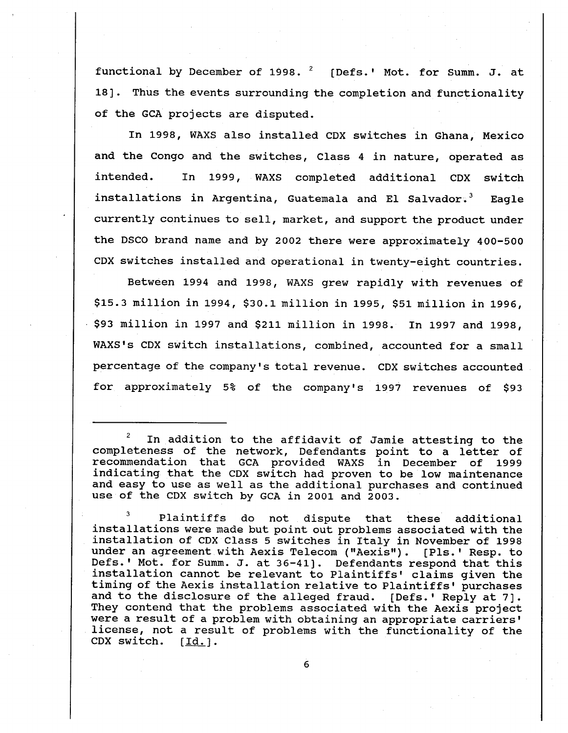functional by December of 1998.  $2$  [Defs.' Mot. for Summ. J. at 18]. Thus the events surrounding the completion and functionality of the GCA projects are disputed.

In 1998, WAXS also installed CDX switches in Ghana, Mexico and the Congo and the switches, Class 4 in nature, operated as intended. In 1999, WAXS completed additional CDX switch installations in Argentina, Guatemala and El Salvador.<sup>3</sup> Eagle currently continues to sell, market, and support the product under the DSCO brand name and by 2002 there were approximately 400-500 CDX switches installed and operational in twenty-eight countries.

Between 1994 and 1998, WAXS grew rapidly with revenues of \$15.3 million in 1994, \$30.1 million in 1995, \$51 million in 1996, . \$93 million in 1997 and \$211 million in 1998. In 1997 and 1998 WAXS's CDX switch installations, combined, accounted for a small percentage of the company's total revenue. CDX switches accounted for approximately 5% of the company's 1997 revenues of \$93

Plaintiffs do not dispute that these additional installations were made but point out problems associated with the installation of CDX Class 5 switches in Italy in November of 1998<br>under an agreement with Aexis Telecom ("Aexis"). [Pls.' Resp. to Defs.' Mot. for Summ. J. at 36-41]. Defendants respond that this installation cannot be relevant to Plaintiffs' claims given the timing of the Aexis installation relative to Plaintiffs ' purchases and to the disclosure of the alleged fraud. [Defs.' Reply at 7]. They contend that the problems associated with the Aexis project were a result of a problem with obtaining an appropriate carriers'<br>license, not a result of problems with the functionality of the<br>CDX switch.  $[\underline{Id}]$ . CDX switch.

In addition to the affidavit of Jamie attesting to the completeness of the network, Defendants point to a letter of recommendation that GCA provided WAXS in December of <sup>1999</sup> indicating that the CDX switch had proven to be low maintenance and easy to use as well as the additional purchases and continued use of the CDX switch by GCA in 2001 and 2003.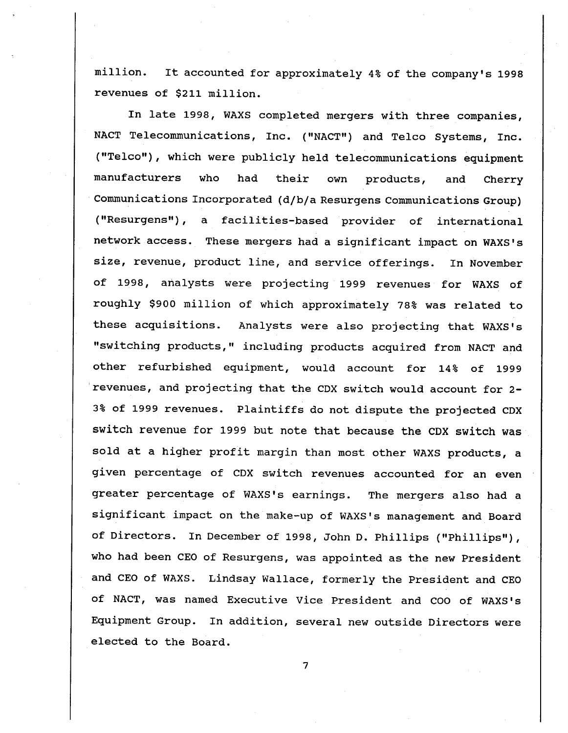million. It accounted for approximately 4% of the company's 1998 revenues of \$211 million.

In late 1998, WAXS completed mergers with three companies, NACT Telecommunications, Inc. ("NACT") and Telco Systems, Inc. ("Telco"), which were publicly held telecommunications equipment manufacturers who had their own products, and Cherry Communications Incorporated (d/b/a Resurgens Communications Group) ( "Resurgens" facilities-based provider of international network access. These mergers had a significant impact on WAXS's size, revenue, product line, and service offerings. In November of 1998, analysts were projecting 1999 revenues for WAXS of roughly \$900 million of which approximately 78% was related to these acquisitions. Analysts were also projecting that WAXS's "switching products," including products acquired from NACT and other refurbished equipment, would account for 14% of 1999 revenues , and projecting that the CDX switch would account for 2- 3% of 1999 revenues. Plaintiffs do not dispute the projected CDX switch revenue for 1999 but note that because the CDX switch was sold at a higher profit margin than most other WAXS products, a given percentage of CDX switch revenues accounted for an even greater percentage of WAXS's earnings. The mergers also had a significant impact on the make-up of WAXS's management and Board of Directors. In December of 1998, John D. Phillips ("Phillips"), who had been CEO of Resurgens, was appointed as the new President and CEO of WAXS. Lindsay Wallace, formerly the President and CEO of NACT, was named Executive Vice President and COO of WAXS's Equipment Group. In addition, several new outside Directors were elected to the Board.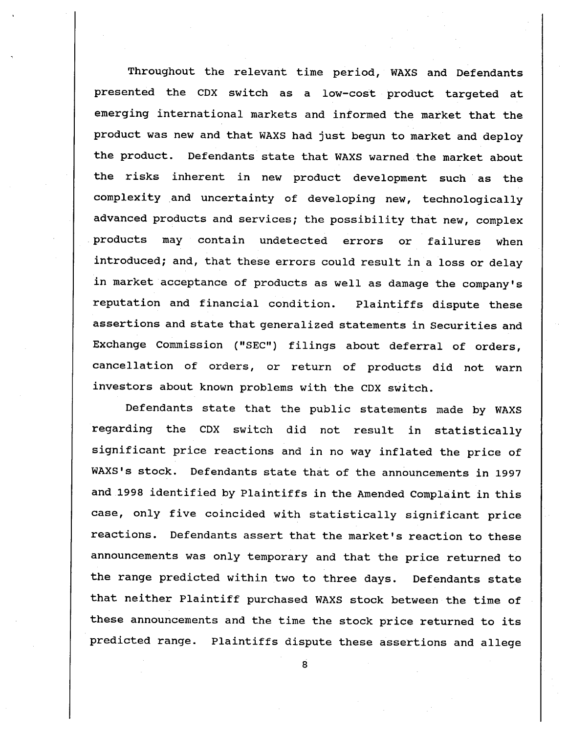Throughout the relevant time period, WAXS and Defendants presented the CDX switch as a low-cost product targeted at emerging international markets and informed the market that the product was new and that WAXS had just begun to market and deploy the product. Defendants state that WAXS warned the market about the risks inherent in new product development such as the complexity and uncertainty of developing new, technologically advanced products and services; the possibility that new, complex products may contain undetected errors or failures when introduced; and, that these errors could result in a loss or delay in market acceptance of products as well as damage the company's reputation and financial condition. Plaintiffs dispute these assertions and state that generalized statements in Securities and Exchange Commission ("SEC") filings about deferral of orders, cancellation of orders, or return of products did not warn investors about known problems with the CDX switch.

Defendants state that the public statements made by WAXS regarding the CDX switch did not result in statistically significant price reactions and in no way inflated the price of WAXS's stock. Defendants state that of the announcements in 1997 and 1998 identified by Plaintiffs in the Amended Complaint in this case, only five coincided with statistically significant price reactions. Defendants assert that the market's reaction to these announcements was only temporary and that the price returned to the range predicted within two to three days. Defendants state that neither Plaintiff purchased WAXS stock between the time of these announcements and the time the stock price returned to its predicted range. Plaintiffs dispute these assertions and allege

 $\overline{8}$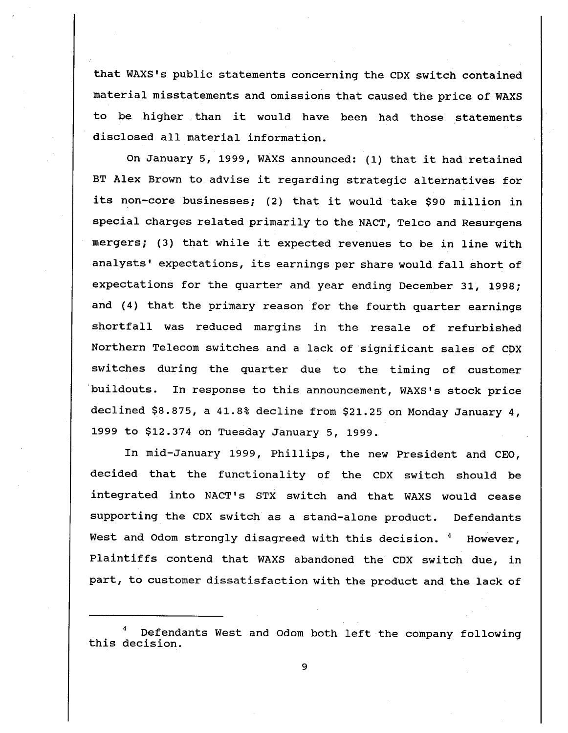that WAXS's public statements concerning the CDX switch contained material misstatements and omissions that caused the price of WAXS be higher than it would have been had those statements disclosed all material information.

On January 5, 1999, WAXS announced: (1) that it had retained BT Alex Brown to advise it regarding strategic alternatives for its non-core businesses; (2) that it would take \$90 million in special charges related primarily to the NACT, Telco and Resurgens mergers; (3) that while it expected revenues to be in line with analysts' expectations, its earnings per share would fall short of expectations for the quarter and year ending December 31, 1998; and (4) that the primary reason for the fourth quarter earnings shortfall was reduced margins in the resale of refurbished Northern Telecom switches and a lack of significant sales of CDX switches during the quarter due to the timing of customer buildouts. In response to this announcement, WAXS's stock price declined \$8.875, a 41.8% decline from \$21.25 on Monday January 4, 1999 to \$12.374 on Tuesday January 5, 1999.

In mid-January 1999, Phillips, the new President and CEO, decided that the functionality of the CDX switch should be integrated into NACT's STX switch and that WAXS would cease supporting the CDX switch as a stand-alone product. Defendants West and Odom strongly disagreed with this decision. <sup>4</sup> However, Plaintiffs contend that WAXS abandoned the CDX switch due, part, to customer dissatisfaction with the product and the lack of

Defendants West and Odom both left the company following this decision.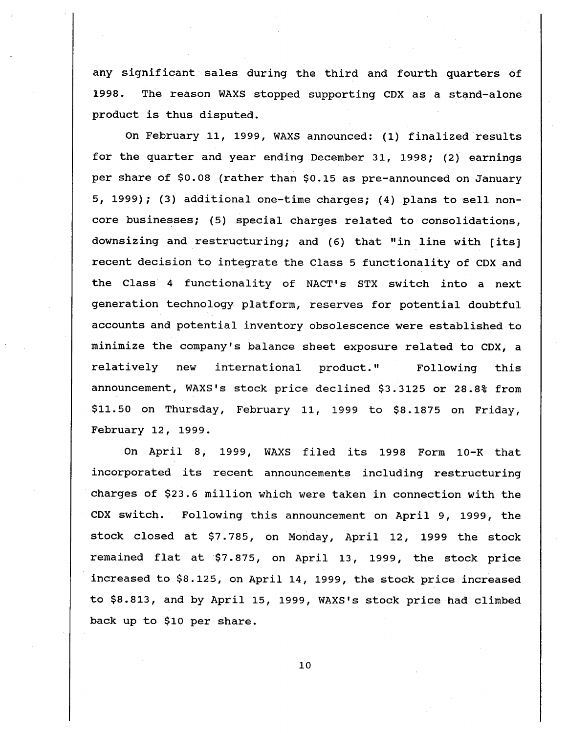any significant sales during the third and fourth quarters of 1998. The reason WAXS stopped supporting CDX as a stand-alone product is thus disputed.

On February 11, 1999, WAXS announced: (1) finalized results for the quarter and year ending December 31, 1998; (2) earnings per share of \$0. 08 (rather than \$0. 15 as pre-announced on January 5, 1999); (3) additional one-time charges; (4) plans to sell noncore businesses; (5) special charges related to consolidations downsizing and restructuring; and (6) that "in line with [its] recent decision to integrate the Class 5 functionality of CDX and the Class 4 functionality of NACT's STX switch into a next generation technology platform, reserves for potential doubtful accounts and potential inventory obsolescence were established to minimize the company's balance sheet exposure related to CDX, a relatively new international product." Following this announcement, WAXS's stock price declined \$3.3125 or 28.8% from  $$11.50$  on Thursday, February 11, 1999 to  $$8.1875$  on Friday, February 12 , 1999.

On April 8, 1999, WAXS filed its 1998 Form 10-K that incorporated its recent announcements including restructuring charges of \$23. 6 million which were taken in connection with the CDX switch. Following this announcement on April 9, 1999, the stock closed at \$7.785, on Monday, April 12, 1999 the stock remained flat at \$7. 875 on April <sup>1999</sup> the stock price increased to \$8. 125, on April 14, 1999 , the stock price increased to \$8.813, and by April 15, 1999, WAXS's stock price had climbed back up to \$10 per share.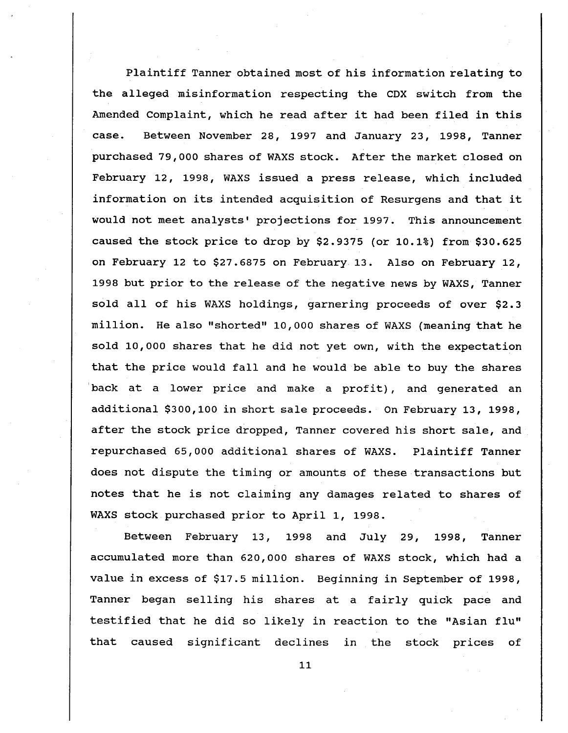Plaintiff Tanner obtained most of his information relating to the alleged misinformation respecting the CDX switch from the Amended Complaint, which he read after it had been filed in this case. Between November 28, 1997 and January 23, 1998, Tanner purchased 79, 000 shares of WAXS stock. After the market closed on February 12, 1998, WAXS issued a press release, which included information on its intended acquisition of Resurgens and that it would not meet analysts' projections for 1997. This announcement caused the stock price to drop by \$2. 9375 (or 10. 1%) from \$30. 625 on February 12 to \$27. 6875 on February 13. Also on February 12, 1998 but prior to the release of the negative news by WAXS, Tanner sold all of his WAXS holdings, garnering proceeds of over \$2.3 million. He also " shorted" 10 000 shares of WAXS (meaning that he sold 10,000 shares that he did not yet own, with the expectation that the price would fall and he would be able to buy the shares back at a lower price and make a profit), and generated an additional \$300,100 in short sale proceeds. On February 13, 1998, after the stock price dropped, Tanner covered his short sale, and repurchased 65 000 additional shares of WAXS. Plaintiff Tanner does not dispute the timing or amounts of these transactions but notes that he is not claiming any damages related to shares of WAXS stock purchased prior to April 1, 1998.

Between February 1998 and July 29, 1998, Tanner accumulated more than 620,000 shares of WAXS stock, which had a value in excess of \$17. 5 million. Beginning in September of 1998, Tanner began selling his shares at a fairly quick pace and testified that he did so likely in reaction to the "Asian flu" that caused significant declines in the stock prices of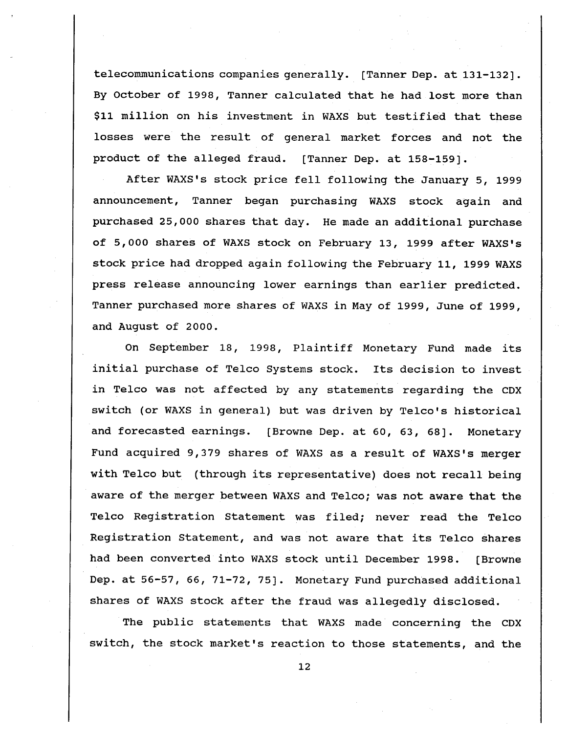telecommunications companies generally. (Tanner Dep. at 131-132J. By October of 1998, Tanner calculated that he had lost more than \$11 million on his investment in WAXS but testified that these losses were the result of general market forces and not the product of the alleged fraud. [Tanner Dep. at 158-159].

After WAXS's stock price fell following the January 5, 1999 announcement, Tanner began purchasing WAXS stock again and purchased 25, 000 shares that day. He made an additional purchase of 5,000 shares of WAXS stock on February 13, 1999 after WAXS's stock price had dropped again following the February 11 , 1999 WAXS press release announcing lower earnings than earlier predicted. Tanner purchased more shares of WAXS in May of 1999 , June of 1999, and August of 2000.

On September 18, 1998, Plaintiff Monetary Fund made its initial purchase of Telco Systems stock. Its decision to invest in Telco was not affected by any statements regarding the CDX switch (or WAXS in general) but was driven by Telco's historical and forecasted earnings. [Browne Dep. at 60, 63, 68]. Monetary Fund acquired 9,379 shares of WAXS as a result of WAXS's merger with Telco but (through its representative) does not recall being aware of the merger between WAXS and Telco; was not aware that the Telco Registration Statement was filed; never read the Telco Registration Statement, and was not aware that its Telco shares had been converted into WAXS stock until December 1998. ( Browne Dep. at 56-57, 66, 71-72, 75]. Monetary Fund purchased additional shares of WAXS stock after the fraud was allegedly disclosed.

The public statements that WAXS made concerning the CDX switch, the stock market's reaction to those statements, and the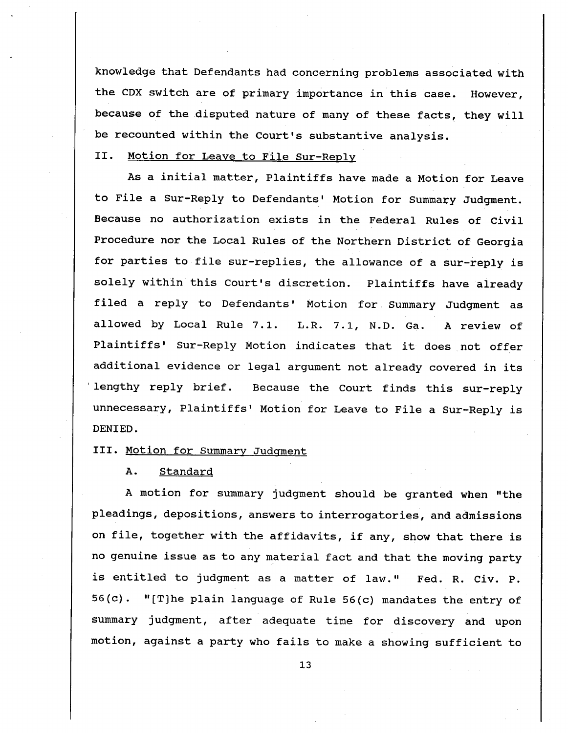knowledge that Defendants had concerning problems associated with the CDX switch are of primary importance in this case. However because of the disputed nature of many of these facts, they will be recounted within the Court's substantive analysis.

# II. Motion for Leave to File Sur-Reply

As a initial matter, Plaintiffs have made a Motion for Leave to File a Sur-Reply to Defendants' Motion for Summary Judgment. Because no authorization exists in the Federal Rules of civil Procedure nor the Local Rules of the Northern District of Georgia for parties to file sur-replies, the allowance of a sur-reply is solely within this Court's discretion. Plaintiffs have already filed a reply to Defendants' Motion for Summary Judgment as allowed by Local Rule 7.1. L.R. 7.1, N.D. Ga. A review of Plaintiffs' Sur-Reply Motion indicates that it does not offer additional evidence or legal argument not already covered in its lengthy reply brief. Because the Court finds this sur-reply unnecessary, Plaintiffs' Motion for Leave to File a Sur-Reply is DENIED.

## III. Motion for Summary Judqment

A. Standard

A motion for summary judgment should be granted when "the pleadings, depositions, answers to interrogatories, and admissions on file, together with the affidavits, if any, show that there is no genuine issue as to any material fact and that the moving party is entitled to judgment as a matter of law." Fed. R. Civ. P.  $56 (c).$  "[T]he plain language of Rule  $56 (c)$  mandates the entry of summary judgment, after adequate time for discovery and upon motion, against a party who fails to make a showing sufficient to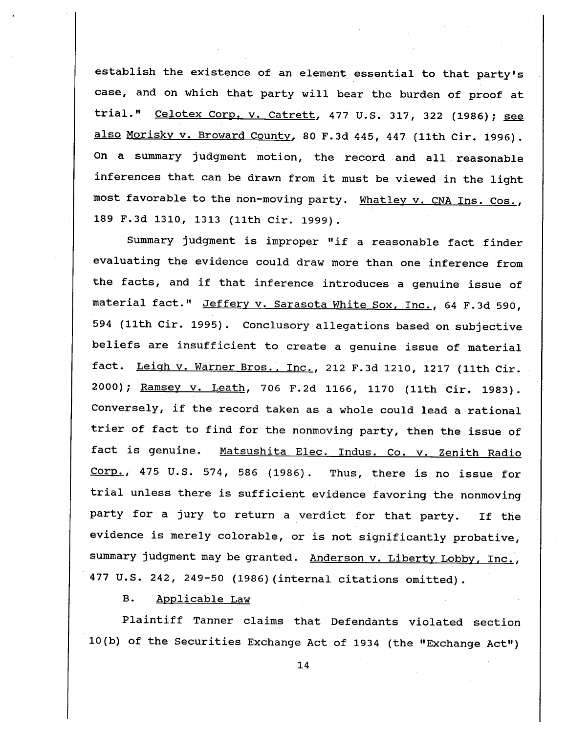establish the existence of an element essential to that party' case, and on which that party will bear the burden of proof at trial." Celotex Corp. v. Catrett, 477 U.S. 317, 322 (1986); see also Moriskv v. Broward County, 80 F. 3d 445, 447 (11th Cir. 1996). On a summary judgment motion, the record and all reasonable inferences that can be drawn from it must be viewed in the light most favorable to the non-moving party. Whatley v. CNA Ins. Cos., 189 F.3d 1310, 1313 (11th Cir. 1999).

Summary judgment is improper "if a reasonable fact finder evaluating the evidence could draw more than one inference from the facts, and if that inference introduces a genuine issue of material fact." Jeffery v. Sarasota White Sox, Inc., 64 F.3d 590, 594 (11th Cir. 1995). Conclusory allegations based on subjective beliefs are insufficient to create a genuine issue of material fact. Leigh v. Warner Bros., Inc. , 212 F. 3d 1210 , 1217 (11th Cir. 2000); Ramsey v. Leath, 706 F.2d 1166, 1170 (11th Cir. 1983). Conversely, if the record taken as a whole could lead a rational trier of fact to find for the nonmoving party, then the issue of fact is genuine. Matsushita Elec. Indus. Co. v. Zenith Radio Corp., 475 U.S. 574, 586 (1986). Thus, there is no issue for trial unless there is sufficient evidence favoring the nonmoving party for a jury to return a verdict for that party. If the evidence is merely colorable, or is not significantly probative, summary judgment may be granted. Anderson v. Liberty Lobby, Inc., 477 U. S. 242 , 249-50 (1986) (internal citations omitted).

**B.** Applicable Law

Plaintiff Tanner claims that Defendants violated section 10 (b) of the Securities Exchange Act of 1934 (the "Exchange Act"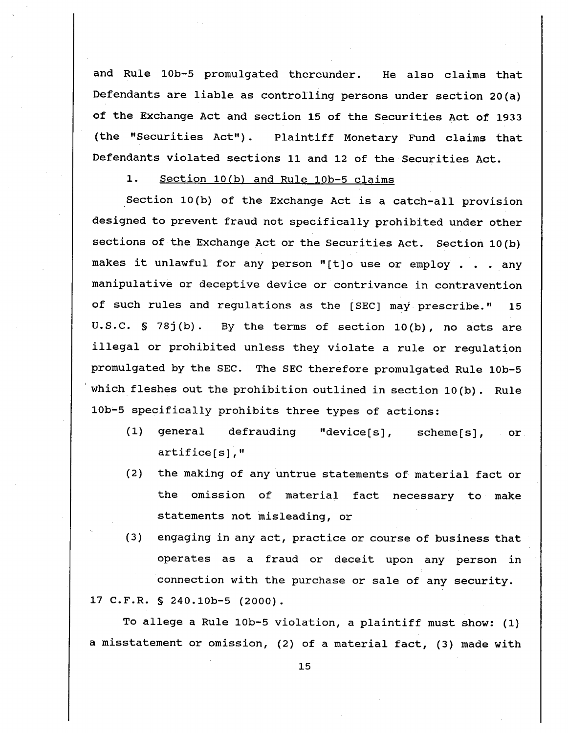and Rule 10b-5 promulgated thereunder. He also claims that Defendants are liable as controlling persons under section 20 (a) of the Exchange Act and section 15 of the Securities Act of 1933 (the "Securities Act"). Plaintiff Monetary Fund claims that Defendants violated sections 11 and 12 of the Securities Act.

#### $1.$ Section 10(b) and Rule 10b-5 claims

Section 10 (b) of the Exchange Act is a catch-all provision designed to prevent fraud not specifically prohibited under other sections of the Exchange Act or the Securities Act. section 10 (b) makes it unlawful for any person "[t]o use or employ . . . any manipulative or deceptive device or contrivance in contravention of such rules and regulations as the [SEC] may prescribe."  $15$ U.S.C.  $S$  78j(b). By the terms of section 10(b), no acts are illegal or prohibited unless they violate a rule or regulation promulgated by the SEC. The SEC therefore promulgated Rule 10b-5 which fleshes out the prohibition outlined in section 10(b). Rule 10b-5 specifically prohibits three types of actions:

- (1) general defrauding "device[s], scheme[s],  $-$  or  $artified[s]$ , "
- (2) the making of any untrue statements of material fact or the omission of material fact necessary to make statements not misleading, or
- (3) engaging in any act, practice or course of business that operates as a fraud or deceit upon any person in connection with the purchase or sale of any security. 17 C.F.R. § 240.10b-5 (2000).

To allege a Rule 10b-5 violation, a plaintiff must show: (1) a misstatement or omission, (2) of a material fact, (3) made with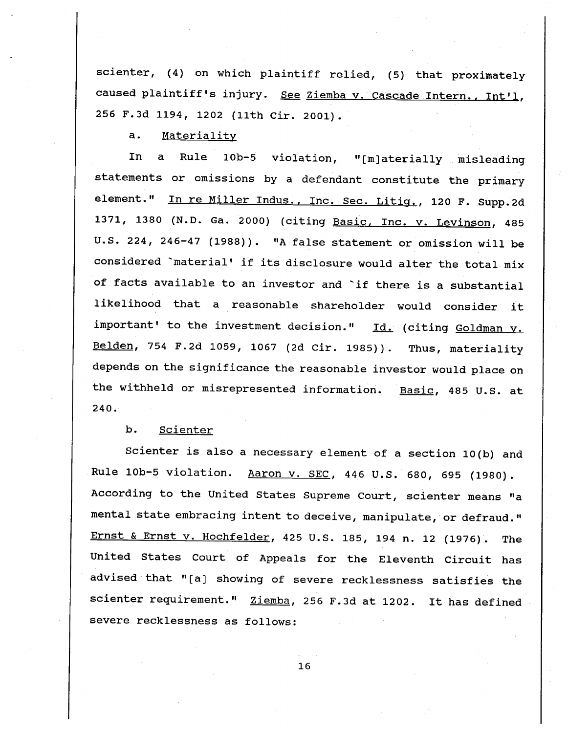scienter,  $(4)$  on which plaintiff relied,  $(5)$  that proximately caused plaintiff's injury. See Ziemba v. Cascade Intern., Int'l, 256 F.3d 1194, 1202 (11th Cir. 2001).

 $a.$ Materiality

Rule 10b-5 violation, "[m] aterially misleading In  $\mathbf{a}$ statements or omissions by a defendant constitute the primary element." In re Miller Indus., Inc. Sec. Litig., 120 F. Supp.2d 1371, 1380 (N.D. Ga. 2000) (citing Basic, Inc. v. Levinson, 485 U.S. 224, 246-47 (1988)). "A false statement or omission will be considered material' if its disclosure would alter the total mix of facts available to an investor and `if there is a substantial likelihood that a reasonable shareholder would consider it important' to the investment decision."  $Id.$  (citing Goldman v. Belden, 754 F.2d 1059, 1067 (2d Cir. 1985)). Thus, materiality depends on the significance the reasonable investor would place on the withheld or misrepresented information. Basic, 485 U.S. at 240.

 $b.$ Scienter

Scienter is also a necessary element of a section 10 (b) and Rule 10b-5 violation. Aaron v. SEC, 446 U.S. 680, 695 (1980). According to the United States Supreme Court, scienter means "a mental state embracing intent to deceive, manipulate, or defraud." Ernst & Ernst v. Hochfelder, 425 U.S. 185, 194 n. 12 (1976). The United States Court of Appeals for the Eleventh Circuit has advised that "[a] showing of severe recklessness satisfies the scienter requirement." Ziemba, 256 F.3d at 1202. It has defined severe recklessness as follows: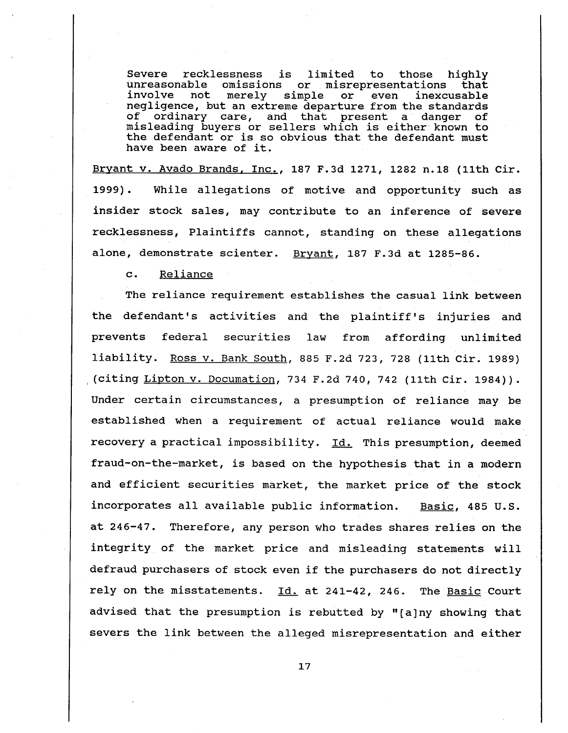Severe recklessness is limited to those highly<br>unreasonable omissions or misrepresentations that<br>involve not merely simple or even inexcusable<br>negligence, but an extreme departure from the standards<br>of ordinary care, and t misleading buyers or sellers which is either known to the defendant or is so obvious that the defendant must have been aware of it.

Bryant v. Avado Brands, Inc., 187 F.3d 1271, 1282 n.18 (11th Cir. 1999) . While allegations of motive and opportunity such as insider stock sales, may contribute to an inference of severe recklessness, Plaintiffs cannot, standing on these allegations alone, demonstrate scienter. Bryant, 187 F.3d at 1285-86.

 $\mathbf{c}$ . Reliance

The reliance requirement establishes the casual link between the defendant's activities and the plaintiff's injuries and prevents federal securities law from affording unlimited liability. Ross v. Bank South, 885 F.2d 723, 728 (11th Cir. 1989) (citing Lipton v. Documation, 734 F.2d 740, 742 (11th Cir. 1984)). Under certain circumstances, a presumption of reliance may be established when a requirement of actual reliance would make recovery a practical impossibility. <u>Id.</u> This presumption, deemed fraud-on-the-market, is based on the hypothesis that in a modern and efficient securities market, the market price of the stock incorporates all available public information. Basic, 485 U. at 246-47. Therefore, any person who trades shares relies on the integrity of the market price and misleading statements will defraud purchasers of stock even if the purchasers do not directly rely on the misstatements. Id. at 241-42, 246. The Basic Court advised that the presumption is rebutted by "[a]ny showing that severs the link between the alleged misrepresentation and either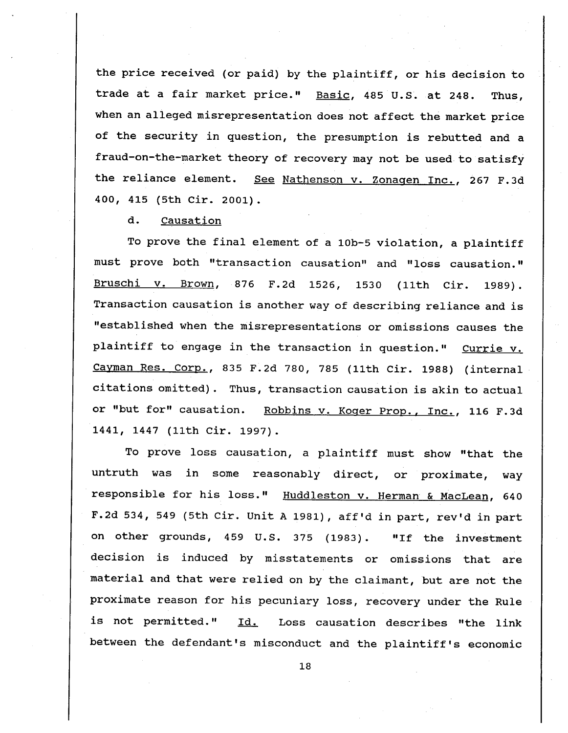the price received (or paid) by the plaintiff, or his decision to trade at a fair market price." Basic, 485 U.S. at 248. Thus, when an alleged misrepresentation does not affect the market price of the security in question, the presumption is rebutted and a fraud-on-the-market theory of recovery may not be used to satisfy the reliance element. See Nathenson v. Zonagen Inc., 267 F.3d 400, 415 (5th Cir. 2001).

d. Causation

To prove the final element of a 10b-5 violation, a plaintiff must prove both "transaction causation" and " loss causation. " Bruschi v. Brown, 876 F.2d 1526, 1530 (11th Cir. 1989). Transaction causation is another way of describing reliance and is established when the misrepresentations or omissions causes the plaintiff to engage in the transaction in question." Currie v. Cayman Res. Corp., 835 F.2d 780, 785 (11th Cir. 1988) (internal citations omitted). Thus, transaction causation is akin to actual or "but for" causation. Robbins v. Koger Prop., Inc., 116 F.3d 1441, 1447 (11th Cir. 1997).

To prove loss causation, a plaintiff must show "that the untruth was in some reasonably direct, or proximate, way responsible for his loss." Huddleston v. Herman & MacLean, 640 F.2d 534, 549 (5th Cir. Unit A 1981), aff'd in part, rev'd in part on other grounds, 459 U.S. 375 (1983). "If the investment decision is induced by misstatements or omissions that are material and that were relied on by the claimant, but are not the proximate reason for his pecuniary loss, recovery under the Rule is not permitted." Id. Loss causation describes "the link between the defendant's misconduct and the plaintiff's economic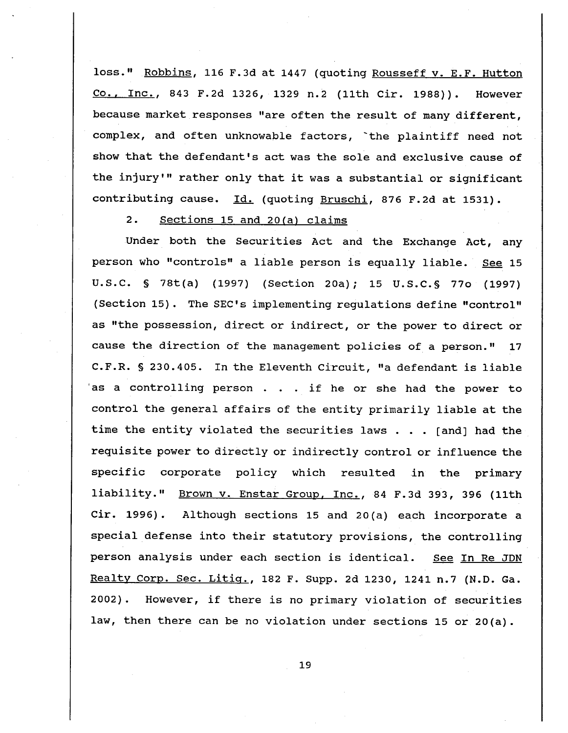loss." Robbins, 116 F.3d at 1447 (quoting Rousseff v. E.F. Hutton Co., Inc., 843 F.2d 1326, 1329 n.2 (11th Cir. 1988)). However because market responses " are often the result of many different, complex, and often unknowable factors, `the plaintiff need not show that the defendant's act was the sole and exclusive cause of the injury'" rather only that it was a substantial or significant contributing cause. Id. (quoting Bruschi, 876 F.2d at 1531).

 $2.$ sections 15 and 20(a) claims

Under both the Securities Act and the Exchange Act, any person who "controls" a liable person is equally liable. See 15 U.S.C. § 78t(a) (1997) (Section 20a); 15 U.S.C. § 770 (1997) (Section 15). The SEC's implementing regulations define "control" as "the possession, direct or indirect, or the power to direct or cause the direction of the management policies of a person. R. § 230.405. In the Eleventh Circuit, "a defendant is liable 'as a controlling person  $\ldots$  if he or she had the power to control the general affairs of the entity primarily liable at the time the entity violated the securities laws . . . [and] had the requisite power to directly or indirectly control or influence the specific corporate policy which resulted in the primary liability." Brown v. Enstar Group, Inc., 84 F.3d 393, 396 (11th cir. 1996). Although sections 15 and 20 (a) each incorporate a special defense into their statutory provisions, the controlling person analysis under each section is identical. See In Re JDN Realty Corp. Sec. Litig., 182 F. Supp. 2d 1230, 1241 n.7 (N.D. Ga. 2002). However, if there is no primary violation of securities law, then there can be no violation under sections 15 or 20 $(a)$ .